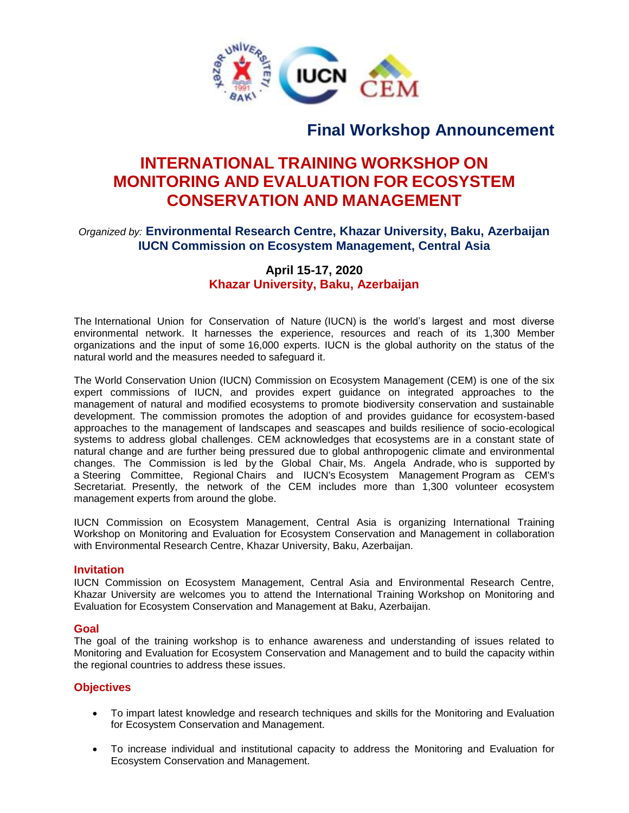

# **Final Workshop Announcement**

# **INTERNATIONAL TRAINING WORKSHOP ON MONITORING AND EVALUATION FOR ECOSYSTEM CONSERVATION AND MANAGEMENT**

## *Organized by:* **Environmental Research Centre, Khazar University, Baku, Azerbaijan IUCN Commission on Ecosystem Management, Central Asia**

### **April 15-17, 2020 Khazar University, Baku, Azerbaijan**

The International Union for Conservation of Nature (IUCN) is the world's largest and most diverse environmental network. It harnesses the experience, resources and reach of its 1,300 Member organizations and the input of some 16,000 experts. IUCN is the global authority on the status of the natural world and the measures needed to safeguard it.

The World Conservation Union (IUCN) Commission on Ecosystem Management (CEM) is one of the six expert commissions of IUCN, and provides expert guidance on integrated approaches to the management of natural and modified ecosystems to promote biodiversity conservation and sustainable development. The commission promotes the adoption of and provides guidance for ecosystem-based approaches to the management of landscapes and seascapes and builds resilience of socio-ecological systems to address global challenges. CEM acknowledges that ecosystems are in a constant state of natural change and are further being pressured due to global anthropogenic climate and environmental changes. The Commission is led by the Global Chair, Ms. Angela Andrade, who is supported by a Steering Committee, Regional Chairs and IUCN's Ecosystem Management Program as CEM's Secretariat. Presently, the network of the CEM includes more than 1,300 volunteer ecosystem management experts from around the globe.

IUCN Commission on Ecosystem Management, Central Asia is organizing International Training Workshop on Monitoring and Evaluation for Ecosystem Conservation and Management in collaboration with Environmental Research Centre, Khazar University, Baku, Azerbaijan.

#### **Invitation**

IUCN Commission on Ecosystem Management, Central Asia and Environmental Research Centre, Khazar University are welcomes you to attend the International Training Workshop on Monitoring and Evaluation for Ecosystem Conservation and Management at Baku, Azerbaijan.

#### **Goal**

The goal of the training workshop is to enhance awareness and understanding of issues related to Monitoring and Evaluation for Ecosystem Conservation and Management and to build the capacity within the regional countries to address these issues.

#### **Objectives**

- To impart latest knowledge and research techniques and skills for the Monitoring and Evaluation for Ecosystem Conservation and Management.
- To increase individual and institutional capacity to address the Monitoring and Evaluation for Ecosystem Conservation and Management.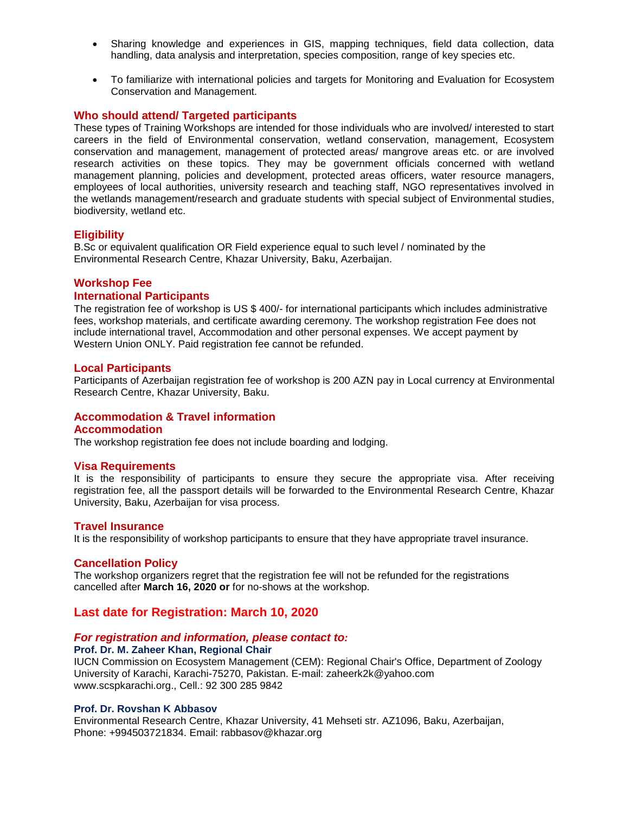- Sharing knowledge and experiences in GIS, mapping techniques, field data collection, data handling, data analysis and interpretation, species composition, range of key species etc.
- To familiarize with international policies and targets for Monitoring and Evaluation for Ecosystem Conservation and Management.

#### **Who should attend/ Targeted participants**

These types of Training Workshops are intended for those individuals who are involved/ interested to start careers in the field of Environmental conservation, wetland conservation, management, Ecosystem conservation and management, management of protected areas/ mangrove areas etc. or are involved research activities on these topics. They may be government officials concerned with wetland management planning, policies and development, protected areas officers, water resource managers, employees of local authorities, university research and teaching staff, NGO representatives involved in the wetlands management/research and graduate students with special subject of Environmental studies, biodiversity, wetland etc.

#### **Eligibility**

B.Sc or equivalent qualification OR Field experience equal to such level / nominated by the Environmental Research Centre, Khazar University, Baku, Azerbaijan.

#### **Workshop Fee**

#### **International Participants**

The registration fee of workshop is US \$ 400/- for international participants which includes administrative fees, workshop materials, and certificate awarding ceremony. The workshop registration Fee does not include international travel, Accommodation and other personal expenses. We accept payment by Western Union ONLY. Paid registration fee cannot be refunded.

#### **Local Participants**

Participants of Azerbaijan registration fee of workshop is 200 AZN pay in Local currency at Environmental Research Centre, Khazar University, Baku.

#### **Accommodation & Travel information**

#### **Accommodation**

The workshop registration fee does not include boarding and lodging.

#### **Visa Requirements**

It is the responsibility of participants to ensure they secure the appropriate visa. After receiving registration fee, all the passport details will be forwarded to the Environmental Research Centre, Khazar University, Baku, Azerbaijan for visa process.

#### **Travel Insurance**

It is the responsibility of workshop participants to ensure that they have appropriate travel insurance.

#### **Cancellation Policy**

The workshop organizers regret that the registration fee will not be refunded for the registrations cancelled after **March 16, 2020 or** for no-shows at the workshop.

#### **Last date for Registration: March 10, 2020**

#### *For registration and information, please contact to:*

#### **Prof. Dr. M. Zaheer Khan, Regional Chair**

IUCN Commission on Ecosystem Management (CEM): Regional Chair's Office, Department of Zoology University of Karachi, Karachi-75270, Pakistan. E-mail: zaheerk2k@yahoo.com www.scspkarachi.org., Cell.: 92 300 285 9842

#### **Prof. Dr. Rovshan K Abbasov**

Environmental Research Centre, Khazar University, 41 Mehseti str. AZ1096, Baku, Azerbaijan, Phone: +994503721834. Email: rabbasov@khazar.org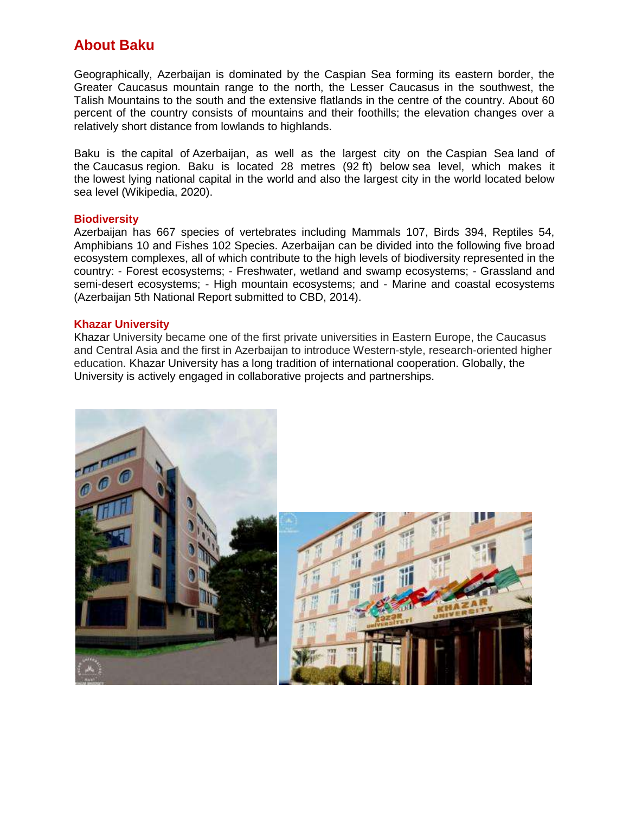## **About Baku**

Geographically, Azerbaijan is dominated by the Caspian Sea forming its eastern border, the Greater Caucasus mountain range to the north, the Lesser Caucasus in the southwest, the Talish Mountains to the south and the extensive flatlands in the centre of the country. About 60 percent of the country consists of mountains and their foothills; the elevation changes over a relatively short distance from lowlands to highlands.

Baku is the capital of Azerbaijan, as well as the largest city on the Caspian Sea land of the Caucasus region. Baku is located 28 metres (92 ft) below [sea level,](https://en.wikipedia.org/wiki/Sea_level) which makes it the lowest lying national capital in the world and also the largest city in the world located below sea level (Wikipedia, 2020).

#### **Biodiversity**

Azerbaijan has 667 species of vertebrates including Mammals 107, Birds 394, Reptiles 54, Amphibians 10 and Fishes 102 Species. Azerbaijan can be divided into the following five broad ecosystem complexes, all of which contribute to the high levels of biodiversity represented in the country: - Forest ecosystems; - Freshwater, wetland and swamp ecosystems; - Grassland and semi-desert ecosystems; - High mountain ecosystems; and - Marine and coastal ecosystems (Azerbaijan 5th National Report submitted to CBD, 2014).

#### **Khazar University**

Khazar University became one of the first private universities in Eastern Europe, the Caucasus and Central Asia and the first in Azerbaijan to introduce Western-style, research-oriented higher education. Khazar University has a long tradition of international cooperation. Globally, the University is actively engaged in collaborative projects and partnerships.



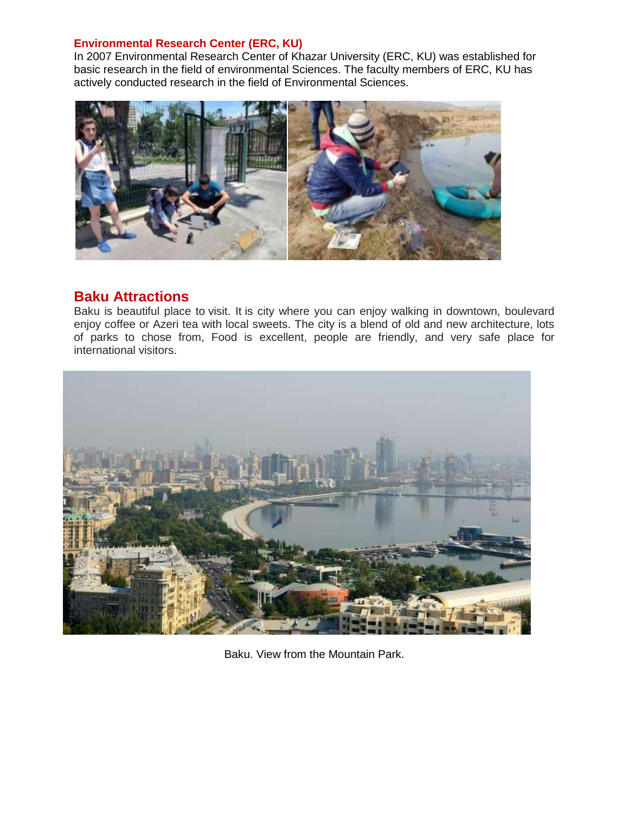#### **Environmental Research Center (ERC, KU)**

In 2007 Environmental Research Center of Khazar University (ERC, KU) was established for basic research in the field of environmental Sciences. The faculty members of ERC, KU has actively conducted research in the field of Environmental Sciences.



## **Baku Attractions**

Baku is beautiful place to visit. It is city where you can enjoy walking in downtown, boulevard enjoy coffee or Azeri tea with local sweets. The city is a blend of old and new architecture, lots of parks to chose from, Food is excellent, people are friendly, and very safe place for international visitors.



Baku. View from the Mountain Park.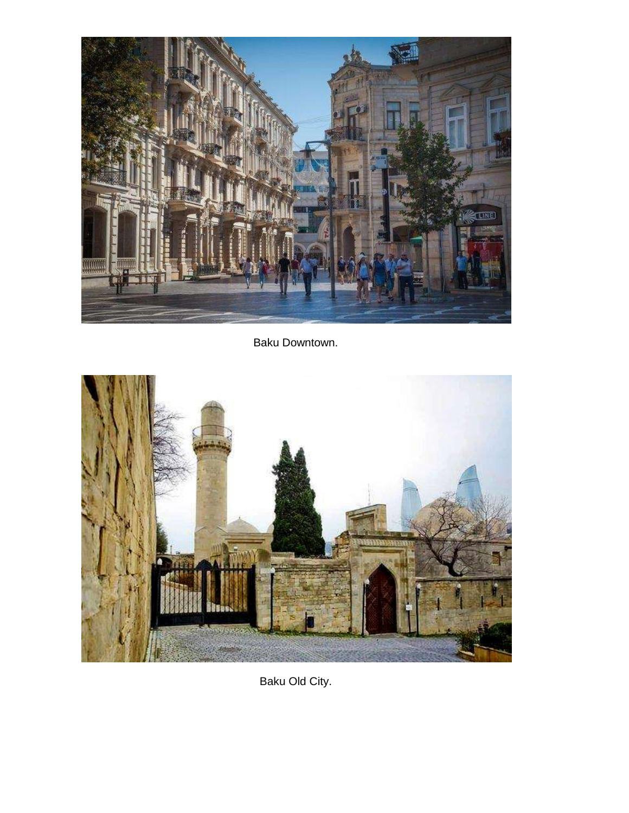

Baku Downtown.



Baku Old City.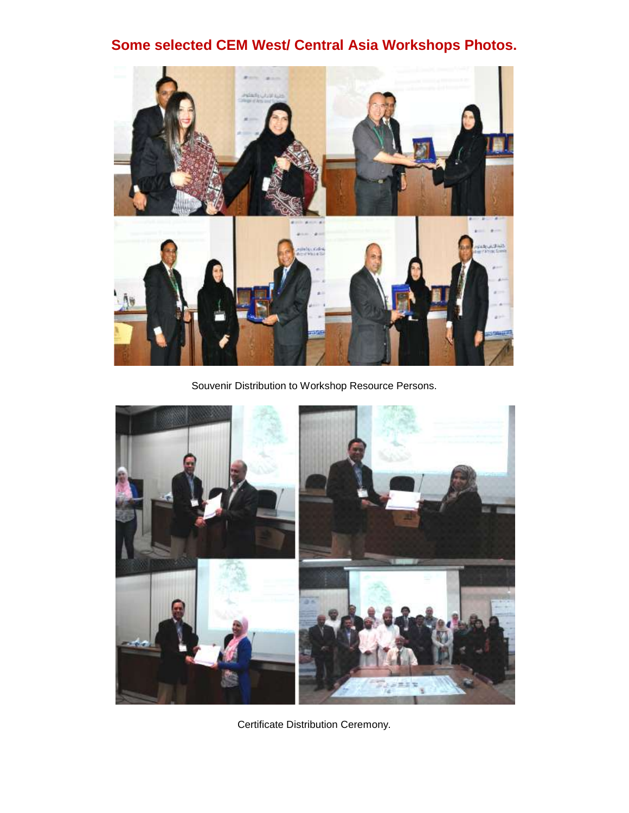# **Some selected CEM West/ Central Asia Workshops Photos.**



Souvenir Distribution to Workshop Resource Persons.



Certificate Distribution Ceremony.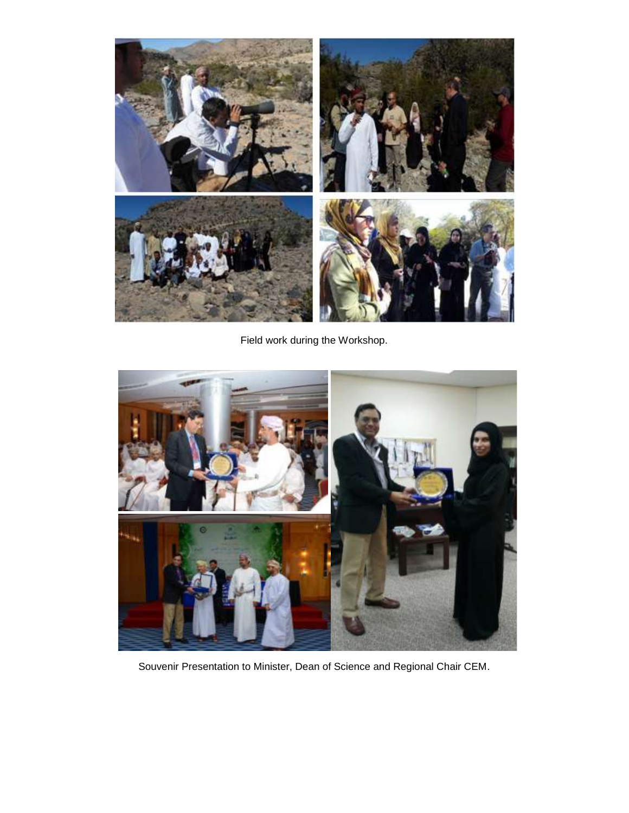

Field work during the Workshop.



Souvenir Presentation to Minister, Dean of Science and Regional Chair CEM.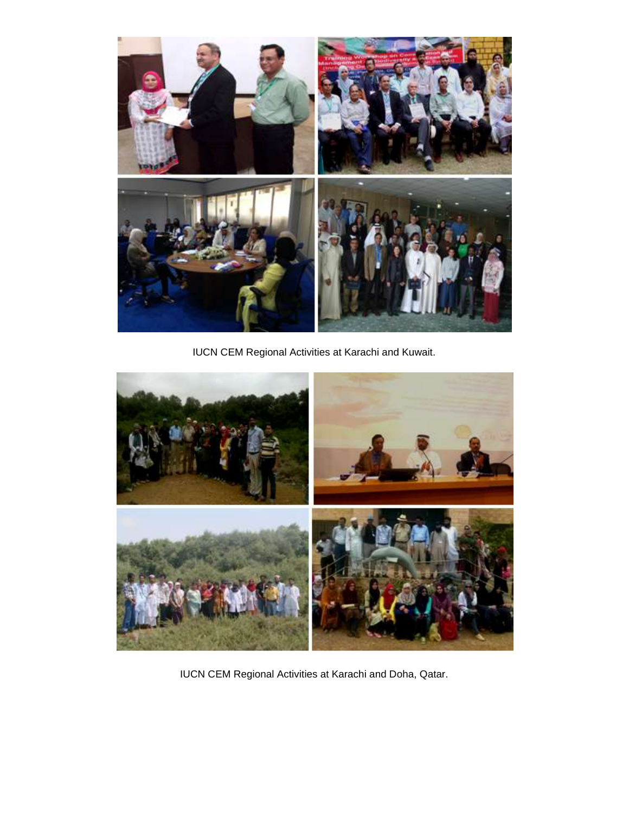

IUCN CEM Regional Activities at Karachi and Kuwait.



IUCN CEM Regional Activities at Karachi and Doha, Qatar.